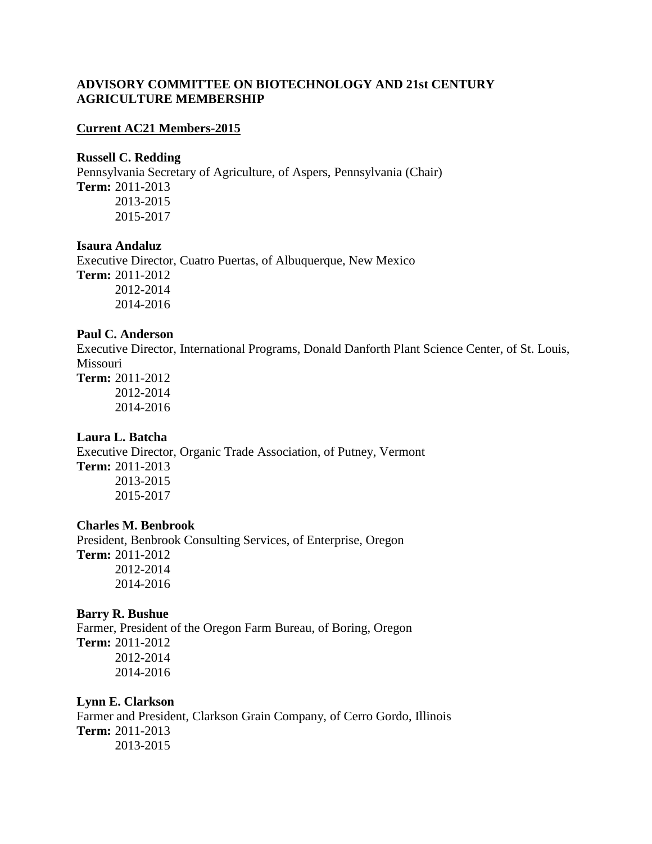## **ADVISORY COMMITTEE ON BIOTECHNOLOGY AND 21st CENTURY AGRICULTURE MEMBERSHIP**

#### **Current AC21 Members-2015**

#### **Russell C. Redding**

Pennsylvania Secretary of Agriculture, of Aspers, Pennsylvania (Chair) **Term:** 2011-2013 2013-2015 2015-2017

## **Isaura Andaluz**

Executive Director, Cuatro Puertas, of Albuquerque, New Mexico **Term:** 2011-2012 2012-2014 2014-2016

## **Paul C. Anderson**

Executive Director, International Programs, Donald Danforth Plant Science Center, of St. Louis, Missouri **Term:** 2011-2012

2012-2014 2014-2016

## **Laura L. Batcha**

Executive Director, Organic Trade Association, of Putney, Vermont **Term:** 2011-2013 2013-2015 2015-2017

#### **Charles M. Benbrook**

President, Benbrook Consulting Services, of Enterprise, Oregon **Term:** 2011-2012 2012-2014 2014-2016

#### **Barry R. Bushue**

Farmer, President of the Oregon Farm Bureau, of Boring, Oregon **Term:** 2011-2012 2012-2014 2014-2016

### **Lynn E. Clarkson**

Farmer and President, Clarkson Grain Company, of Cerro Gordo, Illinois **Term:** 2011-2013 2013-2015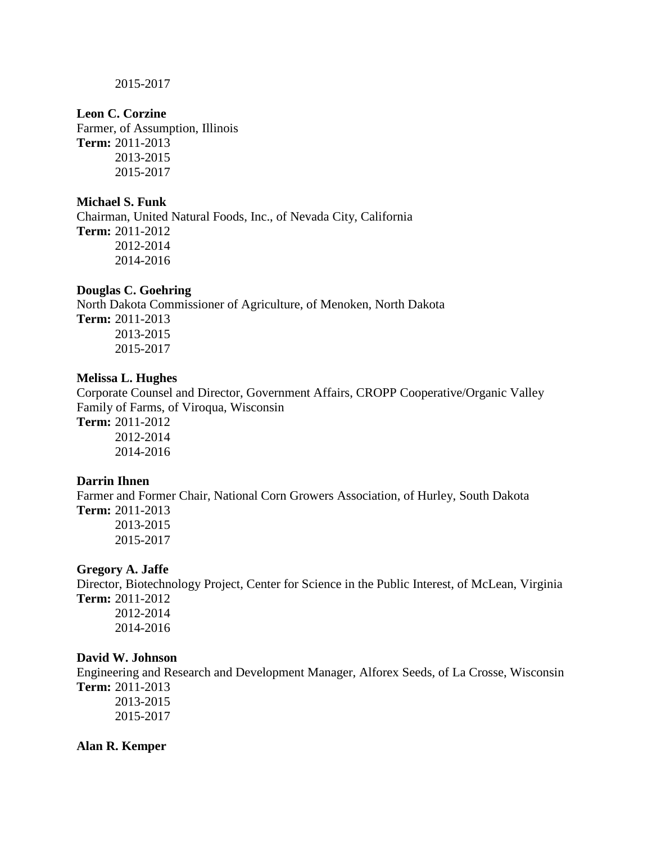2015-2017

#### **Leon C. Corzine**

Farmer, of Assumption, Illinois **Term:** 2011-2013 2013-2015 2015-2017

## **Michael S. Funk**

Chairman, United Natural Foods, Inc., of Nevada City, California **Term:** 2011-2012 2012-2014 2014-2016

## **Douglas C. Goehring**

North Dakota Commissioner of Agriculture, of Menoken, North Dakota **Term:** 2011-2013 2013-2015 2015-2017

### **Melissa L. Hughes**

Corporate Counsel and Director, Government Affairs, CROPP Cooperative/Organic Valley Family of Farms, of Viroqua, Wisconsin

**Term:** 2011-2012 2012-2014 2014-2016

### **Darrin Ihnen**

Farmer and Former Chair, National Corn Growers Association, of Hurley, South Dakota **Term:** 2011-2013 2013-2015 2015-2017

### **Gregory A. Jaffe**

Director, Biotechnology Project, Center for Science in the Public Interest, of McLean, Virginia **Term:** 2011-2012 2012-2014

2014-2016

## **David W. Johnson**

Engineering and Research and Development Manager, Alforex Seeds, of La Crosse, Wisconsin **Term:** 2011-2013 2013-2015

2015-2017

#### **Alan R. Kemper**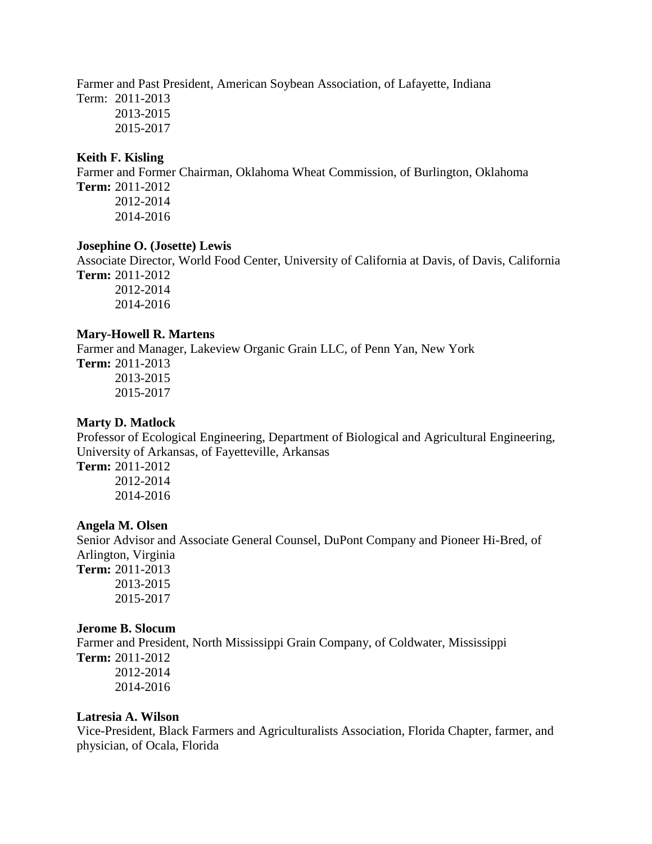Farmer and Past President, American Soybean Association, of Lafayette, Indiana

Term: 2011-2013 2013-2015 2015-2017

## **Keith F. Kisling**

Farmer and Former Chairman, Oklahoma Wheat Commission, of Burlington, Oklahoma **Term:** 2011-2012 2012-2014 2014-2016

#### **Josephine O. (Josette) Lewis**

Associate Director, World Food Center, University of California at Davis, of Davis, California **Term:** 2011-2012

2012-2014 2014-2016

## **Mary-Howell R. Martens**

Farmer and Manager, Lakeview Organic Grain LLC, of Penn Yan, New York

**Term:** 2011-2013 2013-2015 2015-2017

## **Marty D. Matlock**

Professor of Ecological Engineering, Department of Biological and Agricultural Engineering, University of Arkansas, of Fayetteville, Arkansas

**Term:** 2011-2012 2012-2014 2014-2016

## **Angela M. Olsen**

Senior Advisor and Associate General Counsel, DuPont Company and Pioneer Hi-Bred, of Arlington, Virginia **Term:** 2011-2013

2013-2015 2015-2017

## **Jerome B. Slocum**

Farmer and President, North Mississippi Grain Company, of Coldwater, Mississippi **Term:** 2011-2012 2012-2014 2014-2016

## **Latresia A. Wilson**

Vice-President, Black Farmers and Agriculturalists Association, Florida Chapter, farmer, and physician, of Ocala, Florida